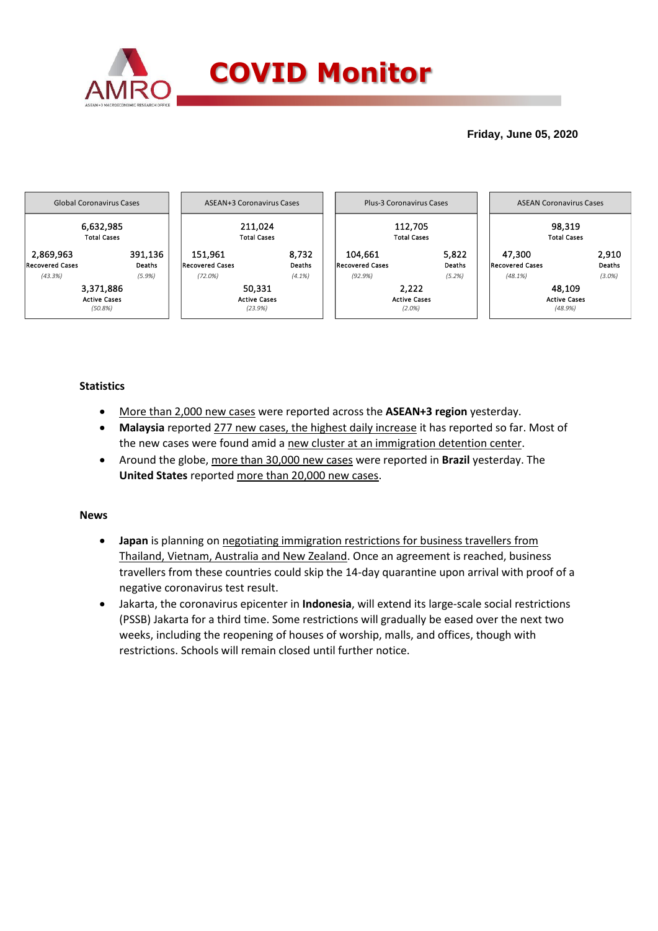

## **Friday, June 05, 2020**



### **Statistics**

- More than 2,000 new cases were reported across the **ASEAN+3 region** yesterday.
- **Malaysia** reported 277 new cases, the highest daily increase it has reported so far. Most of the new cases were found amid a new cluster at an immigration detention center.
- Around the globe, more than 30,000 new cases were reported in **Brazil** yesterday. The **United States** reported more than 20,000 new cases.

### **News**

- **Japan** is planning on negotiating immigration restrictions for business travellers from Thailand, Vietnam, Australia and New Zealand. Once an agreement is reached, business travellers from these countries could skip the 14-day quarantine upon arrival with proof of a negative coronavirus test result.
- Jakarta, the coronavirus epicenter in **Indonesia**, will extend its large-scale social restrictions (PSSB) Jakarta for a third time. Some restrictions will gradually be eased over the next two weeks, including the reopening of houses of worship, malls, and offices, though with restrictions. Schools will remain closed until further notice.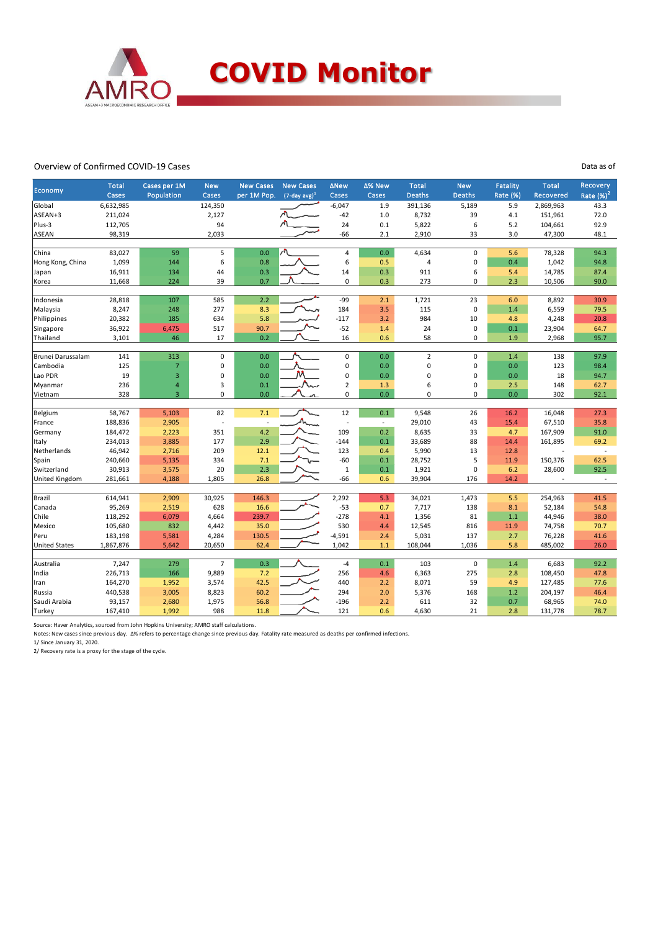

#### Overview of Confirmed COVID-19 Cases

| Economy<br>$(7$ -day avg) <sup>1</sup><br><b>Deaths</b><br><b>Deaths</b><br>Cases<br>Population<br>Cases<br>per 1M Pop.<br>Cases<br>Cases<br>Global<br>6,632,985<br>124,350<br>$-6,047$<br>391,136<br>1.9<br>5,189 | Rate (%)<br>5.9<br>4.1<br>5.2 | Recovered<br>2,869,963 | Rate $(%)2$<br>43.3      |
|--------------------------------------------------------------------------------------------------------------------------------------------------------------------------------------------------------------------|-------------------------------|------------------------|--------------------------|
|                                                                                                                                                                                                                    |                               |                        |                          |
|                                                                                                                                                                                                                    |                               |                        |                          |
| ASEAN+3<br>211,024<br>2,127<br>$-42$<br>1.0<br>8,732<br>39                                                                                                                                                         |                               | 151,961                | 72.0                     |
| 94<br>Plus-3<br>112,705<br>24<br>0.1<br>5,822<br>6                                                                                                                                                                 |                               | 104,661                | 92.9                     |
| 98,319<br>2,033<br>$-66$<br>2,910<br>33<br><b>ASEAN</b><br>2.1                                                                                                                                                     | 3.0                           | 47,300                 | 48.1                     |
|                                                                                                                                                                                                                    |                               |                        |                          |
| 83,027<br>5<br>4,634<br>China<br>59<br>0.0<br>4<br>0.0<br>$\mathbf 0$                                                                                                                                              | 5.6                           | 78,328                 | 94.3                     |
| Hong Kong, China<br>1,099<br>6<br>0.8<br>6<br>$\pmb{0}$<br>144<br>0.5<br>4                                                                                                                                         | 0.4                           | 1,042                  | 94.8                     |
| 16,911<br>0.3<br>14<br>0.3<br>6<br>134<br>44<br>911<br>Japan                                                                                                                                                       | 5.4                           | 14,785                 | 87.4                     |
| 224<br>39<br>0.7<br>0<br>0.3<br>273<br>0<br>11,668<br>Korea                                                                                                                                                        | 2.3                           | 10,506                 | 90.0                     |
| 28,818<br>585<br>2.2<br>-99                                                                                                                                                                                        |                               |                        | 30.9                     |
| Indonesia<br>107<br>2.1<br>1,721<br>23                                                                                                                                                                             | 6.0                           | 8,892                  |                          |
| $\pmb{0}$<br>8,247<br>277<br>8.3<br>3.5<br>Malaysia<br>248<br>184<br>115<br>5.8                                                                                                                                    | 1.4                           | 6,559                  | 79.5                     |
| 20,382<br>185<br>634<br>$-117$<br>3.2<br>984<br>10<br>Philippines<br>90.7<br>$\pmb{0}$<br>517<br>$-52$                                                                                                             | 4.8<br>0.1                    | 4,248                  | 20.8<br>64.7             |
| Singapore<br>36,922<br>6,475<br>24<br>1.4<br>3,101<br>46<br>17<br>0.2<br>16<br>0.6<br>58<br>$\pmb{0}$<br>Thailand                                                                                                  | 1.9                           | 23,904<br>2,968        | 95.7                     |
|                                                                                                                                                                                                                    |                               |                        |                          |
| 313<br>$\pmb{0}$<br>0.0<br>0<br>$\overline{2}$<br>$\mathbf 0$<br>Brunei Darussalam<br>141<br>0.0                                                                                                                   | 1.4                           | 138                    | 97.9                     |
| Cambodia<br>125<br>$\overline{7}$<br>0.0<br>0.0<br>0<br>$\pmb{0}$<br>0<br>0                                                                                                                                        | 0.0                           | 123                    | 98.4                     |
| м<br>$\overline{3}$<br>Lao PDR<br>19<br>0<br>0.0<br>0<br>0.0<br>0<br>$\pmb{0}$                                                                                                                                     | 0.0                           | 18                     | 94.7                     |
| 236<br>4<br>0.1<br>$\overline{2}$<br>1.3<br>$\mathbf 0$<br>Myanmar<br>3<br>6<br>w                                                                                                                                  | 2.5                           | 148                    | 62.7                     |
| 328<br>$\overline{3}$<br>0<br>0.0<br>0<br>0.0<br>$\Omega$<br>$\Omega$<br>Vietnam                                                                                                                                   | 0.0                           | 302                    | 92.1                     |
|                                                                                                                                                                                                                    |                               |                        |                          |
| 82<br>12<br>0.1<br>Belgium<br>58,767<br>5,103<br>7.1<br>9,548<br>26                                                                                                                                                | 16.2                          | 16,048                 | 27.3                     |
| 43<br>188,836<br>2,905<br>29,010<br>France<br>$\omega$<br>÷,<br>÷,                                                                                                                                                 | 15.4                          | 67,510                 | 35.8                     |
| 4.2<br>0.2<br>184,472<br>2,223<br>351<br>109<br>8,635<br>33<br>Germany                                                                                                                                             | 4.7                           | 167,909                | 91.0                     |
| 2.9<br>234,013<br>3,885<br>177<br>$-144$<br>0.1<br>33,689<br>88<br>Italy                                                                                                                                           | 14.4                          | 161,895                | 69.2                     |
| 46,942<br>209<br>123<br>5,990<br>Netherlands<br>2,716<br>12.1<br>0.4<br>13                                                                                                                                         | 12.8                          |                        | $\overline{\phantom{a}}$ |
| 5<br>240,660<br>5,135<br>334<br>7.1<br>$-60$<br>0.1<br>28,752<br>Spain                                                                                                                                             | 11.9                          | 150,376                | 62.5                     |
| 30,913<br>2.3<br>Switzerland<br>3,575<br>20<br>$\mathbf 1$<br>0.1<br>1,921<br>$\mathbf 0$                                                                                                                          | 6.2                           | 28,600                 | 92.5                     |
| $-66$<br>281,661<br>4,188<br>1,805<br>26.8<br>0.6<br>39,904<br>176<br>United Kingdom                                                                                                                               | 14.2                          |                        | $\sim$                   |
|                                                                                                                                                                                                                    |                               |                        |                          |
| 146.3<br>2,292<br>5.3<br>Brazil<br>614,941<br>2,909<br>30,925<br>34,021<br>1,473                                                                                                                                   | 5.5                           | 254,963                | 41.5                     |
| 16.6<br>Canada<br>95,269<br>2,519<br>628<br>$-53$<br>7,717<br>0.7<br>138                                                                                                                                           | 8.1                           | 52,184                 | 54.8                     |
| Chile<br>118,292<br>4,664<br>239.7<br>$-278$<br>1,356<br>81<br>6,079<br>4.1                                                                                                                                        | 1.1                           | 44,946                 | 38.0                     |
| 530<br>Mexico<br>105,680<br>832<br>4,442<br>35.0<br>4.4<br>12,545<br>816                                                                                                                                           | 11.9                          | 74,758                 | 70.7                     |
| 130.5<br>$-4,591$<br>Peru<br>183,198<br>5,581<br>4,284<br>2.4<br>5,031<br>137                                                                                                                                      | 2.7                           | 76,228                 | 41.6                     |
| <b>United States</b><br>1,867,876<br>5,642<br>20,650<br>62.4<br>1,042<br>108,044<br>1,036<br>1.1                                                                                                                   | 5.8                           | 485,002                | 26.0                     |
| Australia<br>7,247<br>$\overline{7}$<br>0.3<br>0.1<br>$\mathbf 0$<br>279<br>$-4$<br>103                                                                                                                            | 1.4                           | 6,683                  | 92.2                     |
| 226,713<br>166<br>9,889<br>7.2<br>256<br>6,363<br>275<br>India<br>4.6                                                                                                                                              | 2.8                           | 108,450                | 47.8                     |
| 42.5<br>164,270<br>1,952<br>3,574<br>440<br>8,071<br>59<br>Iran<br>2.2                                                                                                                                             | 4.9                           | 127,485                | 77.6                     |
| 60.2<br>294<br>440,538<br>3,005<br>8,823<br>2.0<br>5,376<br>168<br>Russia                                                                                                                                          | 1.2                           | 204,197                | 46.4                     |
| 93,157<br>1,975<br>56.8<br>$-196$<br>611<br>32<br>Saudi Arabia<br>2,680<br>2.2                                                                                                                                     | 0.7                           | 68,965                 | 74.0                     |
| 988<br>21<br>167,410<br>1,992<br>11.8<br>121<br>0.6<br>4,630<br>Turkey                                                                                                                                             | 2.8                           | 131,778                | 78.7                     |

Data as of

Source: Haver Analytics, sourced from John Hopkins University; AMRO staff calculations.

Notes: New cases since previous day. Δ% refers to percentage change since previous day. Fatality rate measured as deaths per confirmed infections. 1/ Since January 31, 2020.

2/ Recovery rate is a proxy for the stage of the cycle.